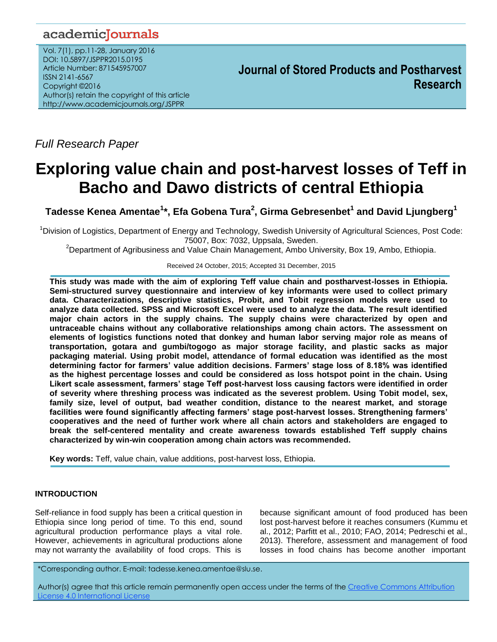# academicJournals

Vol. 7(1), pp.11-28, January 2016 DOI: 10.5897/JSPPR2015.0195 Article Number: 871545957007 ISSN 2141-6567 Copyright ©2016 Author(s) retain the copyright of this article http://www.academicjournals.org/JSPPR

**Journal of Stored Products and Postharvest Research**

# *Full Research Paper*

# **Exploring value chain and post-harvest losses of Teff in Bacho and Dawo districts of central Ethiopia**

**Tadesse Kenea Amentae<sup>1</sup> \*, Efa Gobena Tura<sup>2</sup> , Girma Gebresenbet<sup>1</sup> and David Ljungberg<sup>1</sup>**

<sup>1</sup>Division of Logistics, Department of Energy and Technology, Swedish University of Agricultural Sciences, Post Code: 75007, Box: 7032, Uppsala, Sweden.

<sup>2</sup>Department of Agribusiness and Value Chain Management, Ambo University, Box 19, Ambo, Ethiopia.

Received 24 October, 2015; Accepted 31 December, 2015

**This study was made with the aim of exploring Teff value chain and postharvest-losses in Ethiopia. Semi-structured survey questionnaire and interview of key informants were used to collect primary data. Characterizations, descriptive statistics, Probit, and Tobit regression models were used to analyze data collected. SPSS and Microsoft Excel were used to analyze the data. The result identified major chain actors in the supply chains. The supply chains were characterized by open and untraceable chains without any collaborative relationships among chain actors. The assessment on elements of logistics functions noted that donkey and human labor serving major role as means of transportation, gotara and gumbi/togogo as major storage facility, and plastic sacks as major packaging material. Using probit model, attendance of formal education was identified as the most determining factor for farmers' value addition decisions. Farmers' stage loss of 8.18% was identified as the highest percentage losses and could be considered as loss hotspot point in the chain. Using Likert scale assessment, farmers' stage Teff post-harvest loss causing factors were identified in order of severity where threshing process was indicated as the severest problem. Using Tobit model, sex, family size, level of output, bad weather condition, distance to the nearest market, and storage facilities were found significantly affecting farmers' stage post-harvest losses. Strengthening farmers' cooperatives and the need of further work where all chain actors and stakeholders are engaged to break the self-centered mentality and create awareness towards established Teff supply chains characterized by win-win cooperation among chain actors was recommended.**

**Key words:** Teff, value chain, value additions, post-harvest loss, Ethiopia.

# **INTRODUCTION**

Self-reliance in food supply has been a critical question in Ethiopia since long period of time. To this end, sound agricultural production performance plays a vital role. However, achievements in agricultural productions alone may not warranty the availability of food crops. This is

because significant amount of food produced has been lost post-harvest before it reaches consumers (Kummu et al., 2012; Parfitt et al., 2010; FAO, 2014; Pedreschi et al., 2013). Therefore, assessment and management of food losses in food chains has become another important

\*Corresponding author. E-mail: tadesse.kenea.amentae@slu.se.

Author(s) agree that this article remain permanently open access under the terms of the Creative Commons Attribution [License 4.0 International License](http://creativecommons.org/licenses/by/4.0/deed.en_US)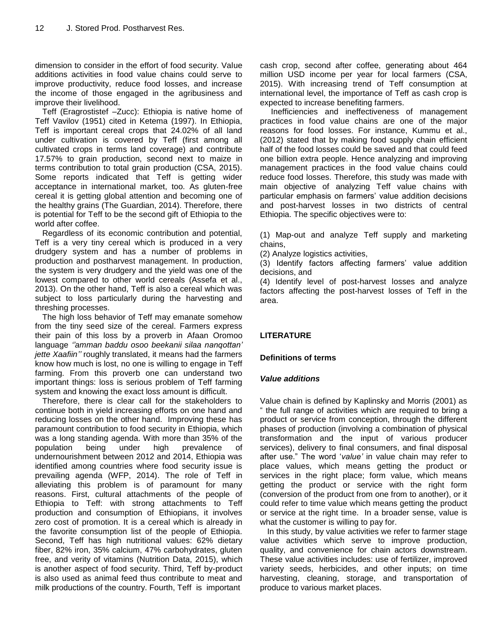dimension to consider in the effort of food security. Value additions activities in food value chains could serve to improve productivity, reduce food losses, and increase the income of those engaged in the agribusiness and improve their livelihood.

Teff (Eragrostistef –Zucc): Ethiopia is native home of Teff Vavilov (1951) cited in Ketema (1997). In Ethiopia, Teff is important cereal crops that 24.02% of all land under cultivation is covered by Teff (first among all cultivated crops in terms land coverage) and contribute 17.57% to grain production, second next to maize in terms contribution to total grain production (CSA, 2015). Some reports indicated that Teff is getting wider acceptance in international market, too. As gluten-free cereal it is getting global attention and becoming one of the healthy grains (The Guardian, 2014). Therefore, there is potential for Teff to be the second gift of Ethiopia to the world after coffee.

Regardless of its economic contribution and potential, Teff is a very tiny cereal which is produced in a very drudgery system and has a number of problems in production and postharvest management. In production, the system is very drudgery and the yield was one of the lowest compared to other world cereals (Assefa et al., 2013). On the other hand, Teff is also a cereal which was subject to loss particularly during the harvesting and threshing processes.

The high loss behavior of Teff may emanate somehow from the tiny seed size of the cereal. Farmers express their pain of this loss by a proverb in Afaan Oromoo language *""amman baddu osoo beekanii silaa nanqottan" jette Xaafiin""* roughly translated, it means had the farmers know how much is lost, no one is willing to engage in Teff farming. From this proverb one can understand two important things: loss is serious problem of Teff farming system and knowing the exact loss amount is difficult.

Therefore, there is clear call for the stakeholders to continue both in yield increasing efforts on one hand and reducing losses on the other hand. Improving these has paramount contribution to food security in Ethiopia, which was a long standing agenda. With more than 35% of the population being under high prevalence of undernourishment between 2012 and 2014, Ethiopia was identified among countries where food security issue is prevailing agenda (WFP, 2014). The role of Teff in alleviating this problem is of paramount for many reasons. First, cultural attachments of the people of Ethiopia to Teff: with strong attachments to Teff production and consumption of Ethiopians, it involves zero cost of promotion. It is a cereal which is already in the favorite consumption list of the people of Ethiopia. Second, Teff has high nutritional values: 62% dietary fiber, 82% iron, 35% calcium, 47% carbohydrates, gluten free, and verity of vitamins (Nutrition Data, 2015), which is another aspect of food security. Third, Teff by-product is also used as animal feed thus contribute to meat and milk productions of the country. Fourth, Teff is important

cash crop, second after coffee, generating about 464 million USD income per year for local farmers (CSA, 2015). With increasing trend of Teff consumption at international level, the importance of Teff as cash crop is expected to increase benefiting farmers.

Inefficiencies and ineffectiveness of management practices in food value chains are one of the major reasons for food losses. For instance, Kummu et al., (2012) stated that by making food supply chain efficient half of the food losses could be saved and that could feed one billion extra people. Hence analyzing and improving management practices in the food value chains could reduce food losses. Therefore, this study was made with main objective of analyzing Teff value chains with particular emphasis on farmers' value addition decisions and post-harvest losses in two districts of central Ethiopia. The specific objectives were to:

(1) Map-out and analyze Teff supply and marketing chains,

(2) Analyze logistics activities,

(3) Identify factors affecting farmers" value addition decisions, and

(4) Identify level of post-harvest losses and analyze factors affecting the post-harvest losses of Teff in the area.

# **LITERATURE**

# **Definitions of terms**

# *Value additions*

Value chain is defined by Kaplinsky and Morris (2001) as " the full range of activities which are required to bring a product or service from conception, through the different phases of production (involving a combination of physical transformation and the input of various producer services), delivery to final consumers, and final disposal after use." The word "*value"* in value chain may refer to place values, which means getting the product or services in the right place; form value, which means getting the product or service with the right form (conversion of the product from one from to another), or it could refer to time value which means getting the product or service at the right time. In a broader sense, value is what the customer is willing to pay for.

In this study, by value activities we refer to farmer stage value activities which serve to improve production, quality, and convenience for chain actors downstream. These value activities includes: use of fertilizer, improved variety seeds, herbicides, and other inputs; on time harvesting, cleaning, storage, and transportation of produce to various market places.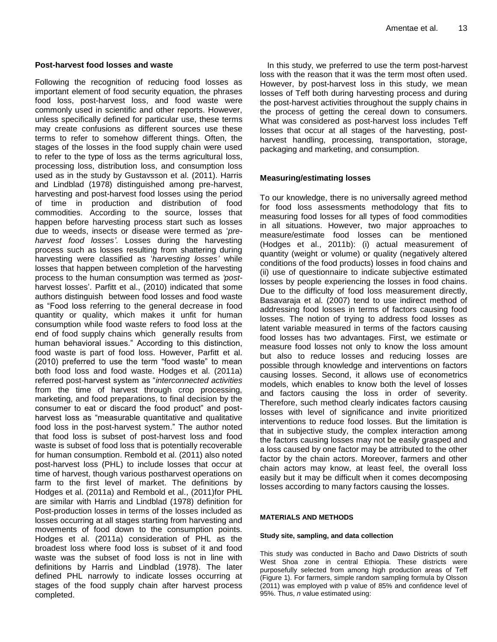### **Post-harvest food losses and waste**

Following the recognition of reducing food losses as important element of food security equation, the phrases food loss, post-harvest loss, and food waste were commonly used in scientific and other reports. However, unless specifically defined for particular use, these terms may create confusions as different sources use these terms to refer to somehow different things. Often, the stages of the losses in the food supply chain were used to refer to the type of loss as the terms agricultural loss, processing loss, distribution loss, and consumption loss used as in the study by Gustavsson et al. (2011). Harris and Lindblad (1978) distinguished among pre-harvest, harvesting and post-harvest food losses using the period of time in production and distribution of food commodities. According to the source, losses that happen before harvesting process start such as losses due to weeds, insects or disease were termed as "*preharvest food losses"*. Losses during the harvesting process such as losses resulting from shattering during harvesting were classified as "*harvesting losses"* while losses that happen between completion of the harvesting process to the human consumption was termed as *"post*harvest losses'. Parfitt et al., (2010) indicated that some authors distinguish between food losses and food waste as "Food loss referring to the general decrease in food quantity or quality, which makes it unfit for human consumption while food waste refers to food loss at the end of food supply chains which generally results from human behavioral issues." According to this distinction, food waste is part of food loss. However, Parfitt et al. (2010) preferred to use the term "food waste" to mean both food loss and food waste. Hodges et al. (2011a) referred post-harvest system as "*interconnected activities* from the time of harvest through crop processing, marketing, and food preparations, to final decision by the consumer to eat or discard the food product" and postharvest loss as "measurable quantitative and qualitative food loss in the post-harvest system." The author noted that food loss is subset of post-harvest loss and food waste is subset of food loss that is potentially recoverable for human consumption. Rembold et al. (2011) also noted post-harvest loss (PHL) to include losses that occur at time of harvest, though various postharvest operations on farm to the first level of market. The definitions by Hodges et al. (2011a) and Rembold et al., (2011)for PHL are similar with Harris and Lindblad (1978) definition for Post-production losses in terms of the losses included as losses occurring at all stages starting from harvesting and movements of food down to the consumption points. Hodges et al. (2011a) consideration of PHL as the broadest loss where food loss is subset of it and food waste was the subset of food loss is not in line with definitions by Harris and Lindblad (1978). The later defined PHL narrowly to indicate losses occurring at stages of the food supply chain after harvest process completed.

In this study, we preferred to use the term post-harvest loss with the reason that it was the term most often used. However, by post-harvest loss in this study, we mean losses of Teff both during harvesting process and during the post-harvest activities throughout the supply chains in the process of getting the cereal down to consumers. What was considered as post-harvest loss includes Teff losses that occur at all stages of the harvesting, postharvest handling, processing, transportation, storage, packaging and marketing, and consumption.

# **Measuring/estimating losses**

To our knowledge, there is no universally agreed method for food loss assessments methodology that fits to measuring food losses for all types of food commodities in all situations. However, two major approaches to measure/estimate food losses can be mentioned (Hodges et al., 2011b): (i) actual measurement of quantity (weight or volume) or quality (negatively altered conditions of the food products) losses in food chains and (ii) use of questionnaire to indicate subjective estimated losses by people experiencing the losses in food chains. Due to the difficulty of food loss measurement directly, Basavaraja et al. (2007) tend to use indirect method of addressing food losses in terms of factors causing food losses. The notion of trying to address food losses as latent variable measured in terms of the factors causing food losses has two advantages. First, we estimate or measure food losses not only to know the loss amount but also to reduce losses and reducing losses are possible through knowledge and interventions on factors causing losses. Second, it allows use of econometrics models, which enables to know both the level of losses and factors causing the loss in order of severity. Therefore, such method clearly indicates factors causing losses with level of significance and invite prioritized interventions to reduce food losses. But the limitation is that in subjective study, the complex interaction among the factors causing losses may not be easily grasped and a loss caused by one factor may be attributed to the other factor by the chain actors. Moreover, farmers and other chain actors may know, at least feel, the overall loss easily but it may be difficult when it comes decomposing losses according to many factors causing the losses.

# **MATERIALS AND METHODS**

#### **Study site, sampling, and data collection**

This study was conducted in Bacho and Dawo Districts of south West Shoa zone in central Ethiopia. These districts were purposefully selected from among high production areas of Teff (Figure 1). For farmers, simple random sampling formula by Olsson (2011) was employed with p value of 85% and confidence level of 95%. Thus, *n* value estimated using: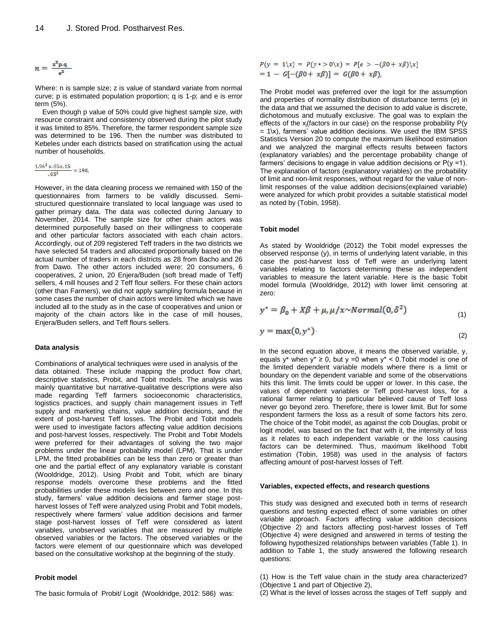$$
n = \frac{z^2 p.q}{e^2}
$$

Where: n is sample size; z is value of standard variate from normal curve; p is estimated population proportion; q is 1-p; and e is error term (5%).

Even though p value of 50% could give highest sample size, with resource constraint and consistency observed during the pilot study it was limited to 85%. Therefore, the farmer respondent sample size was determined to be 196. Then the number was distributed to Kebeles under each districts based on stratification using the actual number of households.

$$
\frac{1.96^2 x.85x.15}{.05^2} = 196,
$$

However, in the data cleaning process we remained with 150 of the questionnaires from farmers to be validly discussed. Semistructured questionnaire translated to local language was used to gather primary data. The data was collected during January to November, 2014. The sample size for other chain actors was determined purposefully based on their willingness to cooperate and other particular factors associated with each chain actors. Accordingly, out of 209 registered Teff traders in the two districts we have selected 54 traders and allocated proportionally based on the actual number of traders in each districts as 28 from Bacho and 26 from Dawo. The other actors included were: 20 consumers, 6 cooperatives, 2 union, 20 Enjera/Buden (soft bread made of Teff) sellers, 4 mill houses and 2 Teff flour sellers. For these chain actors (other than Farmers), we did not apply sampling formula because in some cases the number of chain actors were limited which we have included all to the study as in the case of cooperatives and union or majority of the chain actors like in the case of mill houses, Enjera/Buden sellers, and Teff flours sellers.

#### **Data analysis**

Combinations of analytical techniques were used in analysis of the data obtained. These include mapping the product flow chart, descriptive statistics, Probit, and Tobit models. The analysis was mainly quantitative but narrative-qualitative descriptions were also made regarding Teff farmers socioeconomic characteristics, logistics practices, and supply chain management issues in Teff supply and marketing chains, value addition decisions, and the extent of post-harvest Teff losses. The Probit and Tobit models were used to investigate factors affecting value addition decisions and post-harvest losses, respectively. The Probit and Tobit Models were preferred for their advantages of solving the two major problems under the linear probability model (LPM). That is under LPM, the fitted probabilities can be less than zero or greater than one and the partial effect of any explanatory variable is constant (Wooldridge, 2012). Using Probit and Tobit, which are binary response models overcome these problems and the fitted probabilities under these models lies between zero and one. In this study, farmers' value addition decisions and farmer stage postharvest losses of Teff were analyzed using Probit and Tobit models, respectively where farmers' value addition decisions and farmer stage post-harvest losses of Teff were considered as latent variables, unobserved variables that are measured by multiple observed variables or the factors. The observed variables or the factors were element of our questionnaire which was developed based on the consultative workshop at the beginning of the study.

#### **Probit model**

The basic formula of Probit/ Logit (Wooldridge, 2012: 586) was:

$$
P(y = 1 \setminus x) = P(y * > 0 \setminus x) = P[e > -( \beta 0 + x \beta) \setminus x]
$$
  
= 1 - G[-(\beta 0 + x \beta)] = G(\beta 0 + x \beta),

The Probit model was preferred over the logit for the assumption and properties of normality distribution of disturbance terms (*e*) in the data and that we assumed the decision to add value is discrete, dichotomous and mutually exclusive*.* The goal was to explain the effects of the  $x_i$  (factors in our case) on the response probability  $P(y)$  $= 1\$ )x, farmers' value addition decisions. We used the IBM SPSS Statistics Version 20 to compute the maximum likelihood estimation and we analyzed the marginal effects results between factors (explanatory variables) and the percentage probability change of farmers' decisions to engage in value addition decisions or  $P(y = 1)$ . The explanation of factors (explanatory variables) on the probability of limit and non-limit responses, without regard for the value of nonlimit responses of the value addition decisions(explained variable) were analyzed for which probit provides a suitable statistical model as noted by (Tobin, 1958).

#### **Tobit model**

As stated by Wooldridge (2012) the Tobit model expresses the observed response (y), in terms of underlying latent variable, in this case the post-harvest loss of Teff were an underlying latent variables relating to factors determining these as independent variables to measure the latent variable. Here is the basic Tobit model formula (Wooldridge, 2012) with lower limit censoring at zero:

$$
y^* = \beta_0 + X\beta + \mu, \mu/x \sim Normal(0, \delta^2)
$$
\n<sup>(1)</sup>

$$
y = \max(0, y^*)
$$
 (2)

In the second equation above, it means the observed variable, y, equals y\* when  $y^* \ge 0$ , but y =0 when  $y^*$  < 0. To bit model is one of the limited dependent variable models where there is a limit or boundary on the dependent variable and some of the observations hits this limit. The limits could be upper or lower. In this case, the values of dependent variables or Teff post-harvest loss, for a rational farmer relating to particular believed cause of Teff loss never go beyond zero. Therefore, there is lower limit. But for some respondent farmers the loss as a result of some factors hits zero. The choice of the Tobit model, as against the cob Douglas, probit or logit model, was based on the fact that with it, the intensity of loss as it relates to each independent variable or the loss causing factors can be determined. Thus, maximum likelihood Tobit estimation (Tobin, 1958) was used in the analysis of factors affecting amount of post-harvest losses of Teff.

#### **Variables, expected effects, and research questions**

This study was designed and executed both in terms of research questions and testing expected effect of some variables on other variable approach. Factors affecting value addition decisions (Objective 2) and factors affecting post-harvest losses of Teff (Objective 4) were designed and answered in terms of testing the following hypothesized relationships between variables (Table 1). In addition to Table 1, the study answered the following research questions:

- (1) How is the Teff value chain in the study area characterized? (Objective 1 and part of Objective 2),
- (2) What is the level of losses across the stages of Teff supply and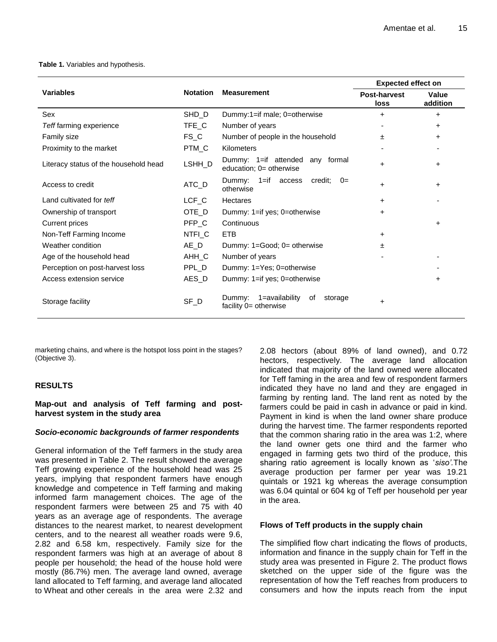#### **Table 1.** Variables and hypothesis.

|                                       |                   |                                                                    | <b>Expected effect on</b>   |                   |
|---------------------------------------|-------------------|--------------------------------------------------------------------|-----------------------------|-------------------|
| <b>Variables</b>                      | <b>Notation</b>   | <b>Measurement</b>                                                 | <b>Post-harvest</b><br>loss | Value<br>addition |
| Sex                                   | SHD_D             | Dummy:1=if male; 0=otherwise                                       | $\ddot{}$                   |                   |
| Teff farming experience               | TFE_C             | Number of years                                                    |                             | +                 |
| Family size                           | FS_C              | Number of people in the household                                  | 土                           | ٠                 |
| Proximity to the market               | PTM <sub>C</sub>  | Kilometers                                                         |                             |                   |
| Literacy status of the household head | LSHH_D            | Dummy: 1=if attended<br>any formal<br>education; 0= otherwise      | $\ddot{}$                   | +                 |
| Access to credit                      | ATC_D             | $1 = if \quad access$<br>Dummy:<br>credit:<br>$0=$<br>otherwise    | +                           |                   |
| Land cultivated for teff              | LCF_C             | <b>Hectares</b>                                                    | $\ddot{}$                   |                   |
| Ownership of transport                | OTE_D             | Dummy: 1=if yes; 0=otherwise                                       | ٠                           |                   |
| <b>Current prices</b>                 | PFP_C             | Continuous                                                         |                             |                   |
| Non-Teff Farming Income               | NTFI_C            | <b>ETB</b>                                                         | $\ddot{}$                   |                   |
| Weather condition                     | $AE$ <sub>D</sub> | Dummy: 1=Good; 0= otherwise                                        | 土                           |                   |
| Age of the household head             | AHH_C             | Number of years                                                    |                             |                   |
| Perception on post-harvest loss       | $PPL_D$           | Dummy: 1=Yes; 0=otherwise                                          |                             |                   |
| Access extension service              | AES_D             | Dummy: 1=if yes; 0=otherwise                                       |                             | +                 |
| Storage facility                      | SF_D              | 1=availability<br>Dummy:<br>οf<br>storage<br>facility 0= otherwise | $\ddot{}$                   |                   |

marketing chains, and where is the hotspot loss point in the stages? (Objective 3).

# **RESULTS**

**Map-out and analysis of Teff farming and postharvest system in the study area**

#### *Socio-economic backgrounds of farmer respondents*

General information of the Teff farmers in the study area was presented in Table 2. The result showed the average Teff growing experience of the household head was 25 years, implying that respondent farmers have enough knowledge and competence in Teff farming and making informed farm management choices. The age of the respondent farmers were between 25 and 75 with 40 years as an average age of respondents. The average distances to the nearest market, to nearest development centers, and to the nearest all weather roads were 9.6, 2.82 and 6.58 km, respectively. Family size for the respondent farmers was high at an average of about 8 people per household; the head of the house hold were mostly (86.7%) men. The average land owned, average land allocated to Teff farming, and average land allocated to Wheat and other cereals in the area were 2.32 and

2.08 hectors (about 89% of land owned), and 0.72 hectors, respectively. The average land allocation indicated that majority of the land owned were allocated for Teff faming in the area and few of respondent farmers indicated they have no land and they are engaged in farming by renting land. The land rent as noted by the farmers could be paid in cash in advance or paid in kind. Payment in kind is when the land owner share produce during the harvest time. The farmer respondents reported that the common sharing ratio in the area was 1:2, where the land owner gets one third and the farmer who engaged in farming gets two third of the produce, this sharing ratio agreement is locally known as "*siso".*The average production per farmer per year was 19.21 quintals or 1921 kg whereas the average consumption was 6.04 quintal or 604 kg of Teff per household per year in the area.

# **Flows of Teff products in the supply chain**

The simplified flow chart indicating the flows of products, information and finance in the supply chain for Teff in the study area was presented in Figure 2. The product flows sketched on the upper side of the figure was the representation of how the Teff reaches from producers to consumers and how the inputs reach from the input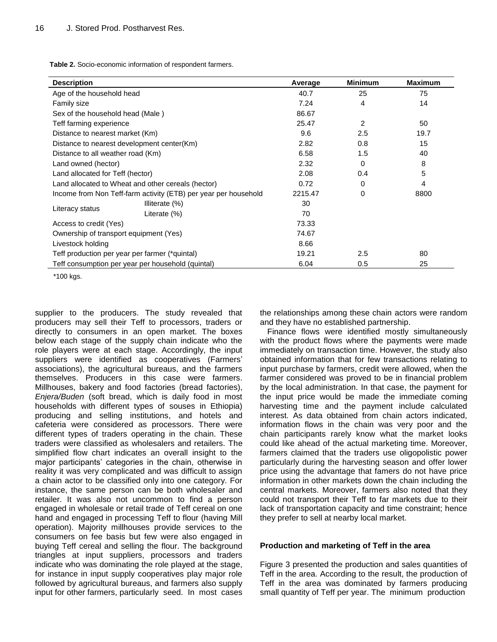**Table 2.** Socio-economic information of respondent farmers.

| <b>Description</b>                                              |                                                   | Average  | <b>Minimum</b> | <b>Maximum</b> |
|-----------------------------------------------------------------|---------------------------------------------------|----------|----------------|----------------|
| Age of the household head                                       |                                                   | 40.7     | 25             | 75             |
| <b>Family size</b>                                              |                                                   | 7.24     | 4              | 14             |
| Sex of the household head (Male)                                |                                                   | 86.67    |                |                |
| Teff farming experience                                         |                                                   | 25.47    | 2              | 50             |
| Distance to nearest market (Km)                                 |                                                   | 9.6      | 2.5            | 19.7           |
| Distance to nearest development center(Km)                      | 2.82                                              | 0.8      | 15             |                |
| Distance to all weather road (Km)                               |                                                   | 6.58     | 1.5            | 40             |
| Land owned (hector)                                             | 2.32                                              | $\Omega$ | 8              |                |
| Land allocated for Teff (hector)                                |                                                   | 2.08     | 0.4            | 5              |
| Land allocated to Wheat and other cereals (hector)              |                                                   | 0.72     | 0              | 4              |
| Income from Non Teff-farm activity (ETB) per year per household |                                                   | 2215.47  | 0              | 8800           |
|                                                                 | Illiterate (%)                                    | 30       |                |                |
| Literacy status                                                 | Literate $(\%)$                                   | 70       |                |                |
| Access to credit (Yes)                                          |                                                   | 73.33    |                |                |
| Ownership of transport equipment (Yes)                          |                                                   | 74.67    |                |                |
| Livestock holding                                               |                                                   | 8.66     |                |                |
| Teff production per year per farmer (*quintal)                  |                                                   | 19.21    | 2.5            | 80             |
|                                                                 | Teff consumption per year per household (quintal) | 6.04     | 0.5            | 25             |

\*100 kgs.

supplier to the producers. The study revealed that producers may sell their Teff to processors, traders or directly to consumers in an open market. The boxes below each stage of the supply chain indicate who the role players were at each stage. Accordingly, the input suppliers were identified as cooperatives (Farmers' associations), the agricultural bureaus, and the farmers themselves. Producers in this case were farmers. Millhouses, bakery and food factories (bread factories), *Enjera/Buden* (soft bread, which is daily food in most households with different types of souses in Ethiopia) producing and selling institutions, and hotels and cafeteria were considered as processors. There were different types of traders operating in the chain. These traders were classified as wholesalers and retailers. The simplified flow chart indicates an overall insight to the major participants' categories in the chain, otherwise in reality it was very complicated and was difficult to assign a chain actor to be classified only into one category. For instance, the same person can be both wholesaler and retailer. It was also not uncommon to find a person engaged in wholesale or retail trade of Teff cereal on one hand and engaged in processing Teff to flour (having Mill operation). Majority millhouses provide services to the consumers on fee basis but few were also engaged in buying Teff cereal and selling the flour. The background triangles at input suppliers, processors and traders indicate who was dominating the role played at the stage, for instance in input supply cooperatives play major role followed by agricultural bureaus, and farmers also supply input for other farmers, particularly seed. In most cases

the relationships among these chain actors were random and they have no established partnership.

Finance flows were identified mostly simultaneously with the product flows where the payments were made immediately on transaction time. However, the study also obtained information that for few transactions relating to input purchase by farmers, credit were allowed, when the farmer considered was proved to be in financial problem by the local administration. In that case, the payment for the input price would be made the immediate coming harvesting time and the payment include calculated interest. As data obtained from chain actors indicated, information flows in the chain was very poor and the chain participants rarely know what the market looks could like ahead of the actual marketing time. Moreover, farmers claimed that the traders use oligopolistic power particularly during the harvesting season and offer lower price using the advantage that famers do not have price information in other markets down the chain including the central markets. Moreover, farmers also noted that they could not transport their Teff to far markets due to their lack of transportation capacity and time constraint; hence they prefer to sell at nearby local market.

# **Production and marketing of Teff in the area**

Figure 3 presented the production and sales quantities of Teff in the area. According to the result, the production of Teff in the area was dominated by farmers producing small quantity of Teff per year. The minimum production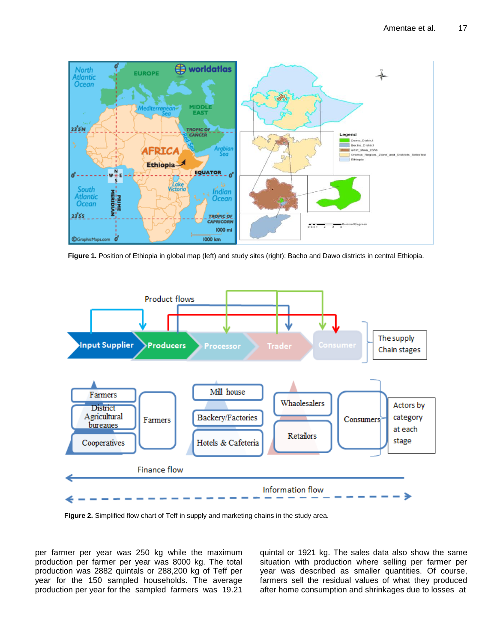

**Figure 1.** Position of Ethiopia in global map (left) and study sites (right): Bacho and Dawo districts in central Ethiopia.



**Figure 2.** Simplified flow chart of Teff in supply and marketing chains in the study area.

per farmer per year was 250 kg while the maximum production per farmer per year was 8000 kg. The total production was 2882 quintals or 288,200 kg of Teff per year for the 150 sampled households. The average production per year for the sampled farmers was 19.21 quintal or 1921 kg. The sales data also show the same situation with production where selling per farmer per year was described as smaller quantities. Of course, farmers sell the residual values of what they produced after home consumption and shrinkages due to losses at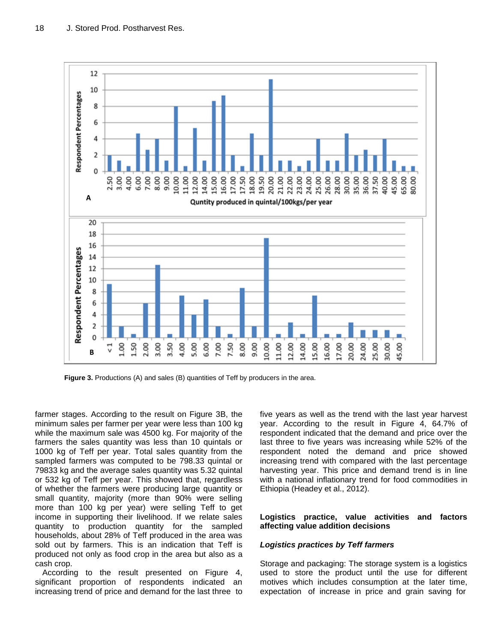

**Figure 3.** Productions (A) and sales (B) quantities of Teff by producers in the area.

farmer stages. According to the result on Figure 3B, the minimum sales per farmer per year were less than 100 kg while the maximum sale was 4500 kg. For majority of the farmers the sales quantity was less than 10 quintals or 1000 kg of Teff per year. Total sales quantity from the sampled farmers was computed to be 798.33 quintal or 79833 kg and the average sales quantity was 5.32 quintal or 532 kg of Teff per year. This showed that, regardless of whether the farmers were producing large quantity or small quantity, majority (more than 90% were selling more than 100 kg per year) were selling Teff to get income in supporting their livelihood. If we relate sales quantity to production quantity for the sampled households, about 28% of Teff produced in the area was sold out by farmers. This is an indication that Teff is produced not only as food crop in the area but also as a cash crop.

According to the result presented on Figure 4, significant proportion of respondents indicated an increasing trend of price and demand for the last three to

stages. According to the result on Figure 3B, the five years as well as the trend with the last year harvest year. According to the result in Figure 4, 64.7% of respondent indicated that the demand and price over the last three to five years was increasing while 52% of the respondent noted the demand and price showed increasing trend with compared with the last percentage harvesting year. This price and demand trend is in line with a national inflationary trend for food commodities in Ethiopia (Headey et al., 2012).

# **Logistics practice, value activities and factors affecting value addition decisions**

# *Logistics practices by Teff farmers*

Storage and packaging: The storage system is a logistics used to store the product until the use for different motives which includes consumption at the later time, expectation of increase in price and grain saving for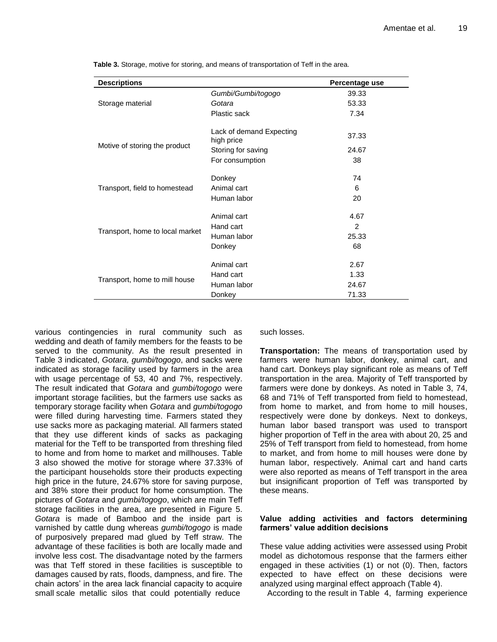| <b>Descriptions</b>             |                                        | Percentage use |
|---------------------------------|----------------------------------------|----------------|
|                                 | Gumbi/Gumbi/togogo                     | 39.33          |
| Storage material                | Gotara                                 | 53.33          |
|                                 | Plastic sack                           | 7.34           |
|                                 | Lack of demand Expecting<br>high price | 37.33          |
| Motive of storing the product   | Storing for saving                     | 24.67          |
|                                 | For consumption                        | 38             |
|                                 | Donkey                                 | 74             |
| Transport, field to homestead   | Animal cart                            | 6              |
|                                 | Human labor                            | 20             |
|                                 | Animal cart                            | 4.67           |
|                                 | Hand cart                              | $\overline{2}$ |
| Transport, home to local market | Human labor                            | 25.33          |
|                                 | Donkey                                 | 68             |
|                                 | Animal cart                            | 2.67           |
|                                 | Hand cart                              | 1.33           |
| Transport, home to mill house   | Human labor                            | 24.67          |
|                                 | Donkey                                 | 71.33          |

**Table 3.** Storage, motive for storing, and means of transportation of Teff in the area.

various contingencies in rural community such as wedding and death of family members for the feasts to be served to the community. As the result presented in Table 3 indicated, *Gotara, gumbi/togogo*, and sacks were indicated as storage facility used by farmers in the area with usage percentage of 53, 40 and 7%, respectively. The result indicated that *Gotara* and *gumbi/togogo* were important storage facilities, but the farmers use sacks as temporary storage facility when *Gotara* and *gumbi/togogo* were filled during harvesting time. Farmers stated they use sacks more as packaging material. All farmers stated that they use different kinds of sacks as packaging material for the Teff to be transported from threshing filed to home and from home to market and millhouses. Table 3 also showed the motive for storage where 37.33% of the participant households store their products expecting high price in the future, 24.67% store for saving purpose, and 38% store their product for home consumption. The pictures of *Gotara* and *gumbi/togogo*, which are main Teff storage facilities in the area, are presented in Figure 5. *Gotara* is made of Bamboo and the inside part is varnished by cattle dung whereas *gumbi/togogo* is made of purposively prepared mad glued by Teff straw. The advantage of these facilities is both are locally made and involve less cost. The disadvantage noted by the farmers was that Teff stored in these facilities is susceptible to damages caused by rats, floods, dampness, and fire. The chain actors" in the area lack financial capacity to acquire small scale metallic silos that could potentially reduce

such losses.

**Transportation:** The means of transportation used by farmers were human labor, donkey, animal cart, and hand cart. Donkeys play significant role as means of Teff transportation in the area. Majority of Teff transported by farmers were done by donkeys. As noted in Table 3, 74, 68 and 71% of Teff transported from field to homestead, from home to market, and from home to mill houses, respectively were done by donkeys. Next to donkeys, human labor based transport was used to transport higher proportion of Teff in the area with about 20, 25 and 25% of Teff transport from field to homestead, from home to market, and from home to mill houses were done by human labor, respectively. Animal cart and hand carts were also reported as means of Teff transport in the area but insignificant proportion of Teff was transported by these means.

# **Value adding activities and factors determining farmers' value addition decisions**

These value adding activities were assessed using Probit model as dichotomous response that the farmers either engaged in these activities (1) or not (0). Then, factors expected to have effect on these decisions were analyzed using marginal effect approach (Table 4).

According to the result in Table 4, farming experience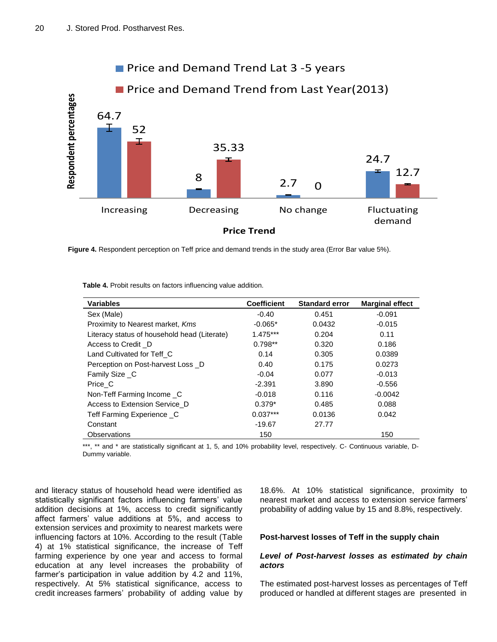

**Figure 4.** Respondent perception on Teff price and demand trends in the study area (Error Bar value 5%).

| Probit results on factors influencing value addition.<br>Table 4. |  |  |
|-------------------------------------------------------------------|--|--|

| <b>Variables</b>                             | <b>Coefficient</b> | <b>Standard error</b> | <b>Marginal effect</b> |
|----------------------------------------------|--------------------|-----------------------|------------------------|
| Sex (Male)                                   | $-0.40$            | 0.451                 | $-0.091$               |
| Proximity to Nearest market, Kms             | $-0.065*$          | 0.0432                | $-0.015$               |
| Literacy status of household head (Literate) | $1.475***$         | 0.204                 | 0.11                   |
| Access to Credit D                           | $0.798**$          | 0.320                 | 0.186                  |
| Land Cultivated for Teff C                   | 0.14               | 0.305                 | 0.0389                 |
| Perception on Post-harvest Loss D            | 0.40               | 0.175                 | 0.0273                 |
| Family Size C                                | $-0.04$            | 0.077                 | $-0.013$               |
| Price C                                      | $-2.391$           | 3.890                 | $-0.556$               |
| Non-Teff Farming Income _C                   | $-0.018$           | 0.116                 | $-0.0042$              |
| Access to Extension Service D                | $0.379*$           | 0.485                 | 0.088                  |
| Teff Farming Experience C                    | $0.037***$         | 0.0136                | 0.042                  |
| Constant                                     | $-19.67$           | 27.77                 |                        |
| Observations                                 | 150                |                       | 150                    |

\*\*\*, \*\* and \* are statistically significant at 1, 5, and 10% probability level, respectively. C- Continuous variable, D-Dummy variable.

and literacy status of household head were identified as statistically significant factors influencing farmers' value addition decisions at 1%, access to credit significantly affect farmers" value additions at 5%, and access to extension services and proximity to nearest markets were influencing factors at 10%. According to the result (Table 4) at 1% statistical significance, the increase of Teff farming experience by one year and access to formal education at any level increases the probability of farmer's participation in value addition by 4.2 and 11%, respectively. At 5% statistical significance, access to credit increases farmers" probability of adding value by

18.6%. At 10% statistical significance, proximity to nearest market and access to extension service farmers" probability of adding value by 15 and 8.8%, respectively.

# **Post-harvest losses of Teff in the supply chain**

# *Level of Post-harvest losses as estimated by chain actors*

The estimated post-harvest losses as percentages of Teff produced or handled at different stages are presented in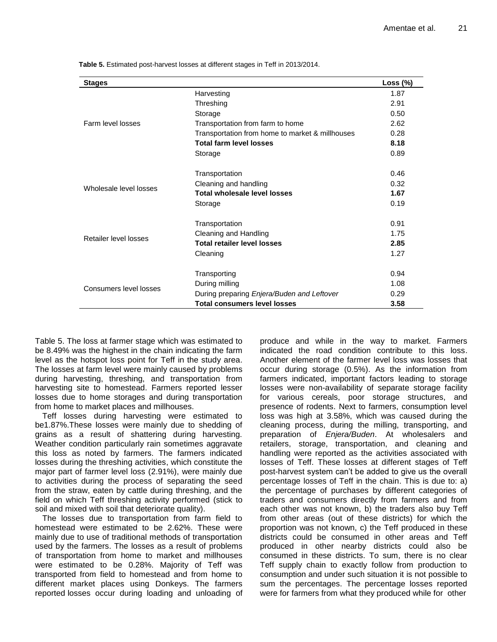| <b>Stages</b>          |                                                 | Loss $(\%)$ |
|------------------------|-------------------------------------------------|-------------|
|                        | Harvesting                                      | 1.87        |
|                        | Threshing                                       | 2.91        |
|                        | Storage                                         | 0.50        |
| Farm level losses      | Transportation from farm to home                | 2.62        |
|                        | Transportation from home to market & millhouses | 0.28        |
|                        | <b>Total farm level losses</b>                  | 8.18        |
|                        | Storage                                         | 0.89        |
|                        | Transportation                                  | 0.46        |
| Wholesale level losses | Cleaning and handling                           | 0.32        |
|                        | Total wholesale level losses                    | 1.67        |
|                        | Storage                                         | 0.19        |
|                        | Transportation                                  | 0.91        |
|                        | Cleaning and Handling                           | 1.75        |
| Retailer level losses  | <b>Total retailer level losses</b>              | 2.85        |
|                        | Cleaning                                        | 1.27        |
|                        | Transporting                                    | 0.94        |
| Consumers level losses | During milling                                  | 1.08        |
|                        | During preparing Enjera/Buden and Leftover      | 0.29        |
|                        | <b>Total consumers level losses</b>             | 3.58        |

**Table 5.** Estimated post-harvest losses at different stages in Teff in 2013/2014.

Table 5. The loss at farmer stage which was estimated to be 8.49% was the highest in the chain indicating the farm level as the hotspot loss point for Teff in the study area. The losses at farm level were mainly caused by problems during harvesting, threshing, and transportation from harvesting site to homestead. Farmers reported lesser losses due to home storages and during transportation from home to market places and millhouses.

Teff losses during harvesting were estimated to be1.87%.These losses were mainly due to shedding of grains as a result of shattering during harvesting. Weather condition particularly rain sometimes aggravate this loss as noted by farmers. The farmers indicated losses during the threshing activities, which constitute the major part of farmer level loss (2.91%), were mainly due to activities during the process of separating the seed from the straw, eaten by cattle during threshing, and the field on which Teff threshing activity performed (stick to soil and mixed with soil that deteriorate quality).

The losses due to transportation from farm field to homestead were estimated to be 2.62%. These were mainly due to use of traditional methods of transportation used by the farmers. The losses as a result of problems of transportation from home to market and millhouses were estimated to be 0.28%. Majority of Teff was transported from field to homestead and from home to different market places using Donkeys. The farmers reported losses occur during loading and unloading of

produce and while in the way to market. Farmers indicated the road condition contribute to this loss. Another element of the farmer level loss was losses that occur during storage (0.5%). As the information from farmers indicated, important factors leading to storage losses were non-availability of separate storage facility for various cereals, poor storage structures, and presence of rodents. Next to farmers, consumption level loss was high at 3.58%, which was caused during the cleaning process, during the milling, transporting, and preparation of *Enjera/Buden*. At wholesalers and retailers, storage, transportation, and cleaning and handling were reported as the activities associated with losses of Teff. These losses at different stages of Teff post-harvest system can"t be added to give us the overall percentage losses of Teff in the chain. This is due to: a) the percentage of purchases by different categories of traders and consumers directly from farmers and from each other was not known, b) the traders also buy Teff from other areas (out of these districts) for which the proportion was not known, c) the Teff produced in these districts could be consumed in other areas and Teff produced in other nearby districts could also be consumed in these districts. To sum, there is no clear Teff supply chain to exactly follow from production to consumption and under such situation it is not possible to sum the percentages. The percentage losses reported were for farmers from what they produced while for other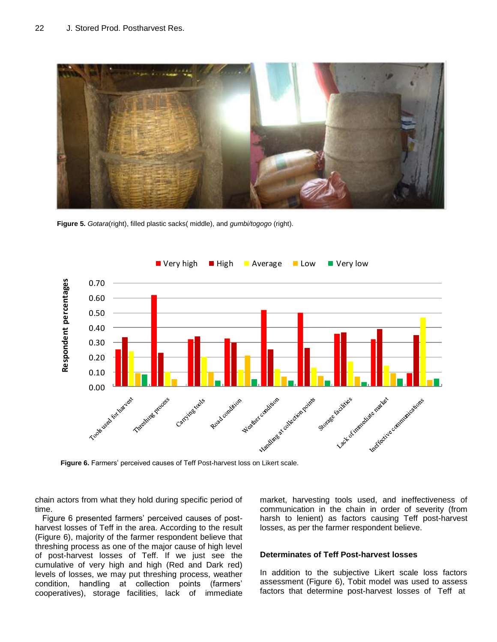

**Figure 5.** *Gotara*(right), filled plastic sacks( middle), and *gumbi/togogo* (right).



**Figure 6.** Farmers" perceived causes of Teff Post-harvest loss on Likert scale.

chain actors from what they hold during specific period of time.

Figure 6 presented farmers" perceived causes of postharvest losses of Teff in the area. According to the result (Figure 6), majority of the farmer respondent believe that threshing process as one of the major cause of high level of post-harvest losses of Teff. If we just see the cumulative of very high and high (Red and Dark red) levels of losses, we may put threshing process, weather condition, handling at collection points (farmers" cooperatives), storage facilities, lack of immediate market, harvesting tools used, and ineffectiveness of communication in the chain in order of severity (from harsh to lenient) as factors causing Teff post-harvest losses, as per the farmer respondent believe.

# **Determinates of Teff Post-harvest losses**

In addition to the subjective Likert scale loss factors assessment (Figure 6), Tobit model was used to assess factors that determine post-harvest losses of Teff at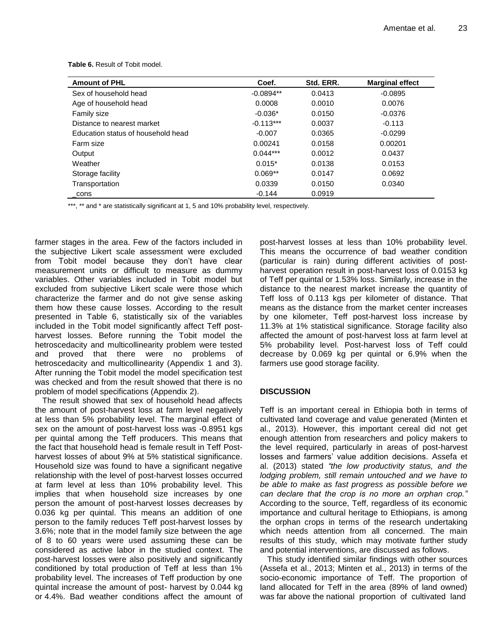**Table 6.** Result of Tobit model.

| <b>Amount of PHL</b>               | Coef.       | Std. ERR. | <b>Marginal effect</b> |
|------------------------------------|-------------|-----------|------------------------|
| Sex of household head              | $-0.0894**$ | 0.0413    | $-0.0895$              |
| Age of household head              | 0.0008      | 0.0010    | 0.0076                 |
| Family size                        | $-0.036*$   | 0.0150    | $-0.0376$              |
| Distance to nearest market         | $-0.113***$ | 0.0037    | $-0.113$               |
| Education status of household head | $-0.007$    | 0.0365    | $-0.0299$              |
| Farm size                          | 0.00241     | 0.0158    | 0.00201                |
| Output                             | $0.044***$  | 0.0012    | 0.0437                 |
| Weather                            | $0.015*$    | 0.0138    | 0.0153                 |
| Storage facility                   | $0.069**$   | 0.0147    | 0.0692                 |
| Transportation                     | 0.0339      | 0.0150    | 0.0340                 |
| cons                               | $-0.144$    | 0.0919    |                        |

\*\*\*, \*\* and \* are statistically significant at 1, 5 and 10% probability level, respectively.

farmer stages in the area. Few of the factors included in the subjective Likert scale assessment were excluded from Tobit model because they don"t have clear measurement units or difficult to measure as dummy variables. Other variables included in Tobit model but excluded from subjective Likert scale were those which characterize the farmer and do not give sense asking them how these cause losses. According to the result presented in Table 6, statistically six of the variables included in the Tobit model significantly affect Teff postharvest losses. Before running the Tobit model the hetroscedacity and multicollinearity problem were tested and proved that there were no problems of hetroscedacity and multicollinearity (Appendix 1 and 3). After running the Tobit model the model specification test was checked and from the result showed that there is no problem of model specifications (Appendix 2).

The result showed that sex of household head affects the amount of post-harvest loss at farm level negatively at less than 5% probability level. The marginal effect of sex on the amount of post-harvest loss was -0.8951 kgs per quintal among the Teff producers. This means that the fact that household head is female result in Teff Postharvest losses of about 9% at 5% statistical significance. Household size was found to have a significant negative relationship with the level of post-harvest losses occurred at farm level at less than 10% probability level. This implies that when household size increases by one person the amount of post-harvest losses decreases by 0.036 kg per quintal. This means an addition of one person to the family reduces Teff post-harvest losses by 3.6%; note that in the model family size between the age of 8 to 60 years were used assuming these can be considered as active labor in the studied context. The post-harvest losses were also positively and significantly conditioned by total production of Teff at less than 1% probability level. The increases of Teff production by one quintal increase the amount of post- harvest by 0.044 kg or 4.4%. Bad weather conditions affect the amount of

post-harvest losses at less than 10% probability level. This means the occurrence of bad weather condition (particular is rain) during different activities of postharvest operation result in post-harvest loss of 0.0153 kg of Teff per quintal or 1.53% loss. Similarly, increase in the distance to the nearest market increase the quantity of Teff loss of 0.113 kgs per kilometer of distance. That means as the distance from the market center increases by one kilometer, Teff post-harvest loss increase by 11.3% at 1% statistical significance. Storage facility also affected the amount of post-harvest loss at farm level at 5% probability level. Post-harvest loss of Teff could decrease by 0.069 kg per quintal or 6.9% when the farmers use good storage facility.

# **DISCUSSION**

Teff is an important cereal in Ethiopia both in terms of cultivated land coverage and value generated (Minten et al., 2013). However, this important cereal did not get enough attention from researchers and policy makers to the level required, particularly in areas of post-harvest losses and farmers' value addition decisions. Assefa et al. (2013) stated *"the low productivity status, and the lodging problem, still remain untouched and we have to be able to make as fast progress as possible before we can declare that the crop is no more an orphan crop."* According to the source, Teff, regardless of its economic importance and cultural heritage to Ethiopians, is among the orphan crops in terms of the research undertaking which needs attention from all concerned. The main results of this study, which may motivate further study and potential interventions, are discussed as follows.

This study identified similar findings with other sources (Assefa et al., 2013; Minten et al., 2013) in terms of the socio-economic importance of Teff. The proportion of land allocated for Teff in the area (89% of land owned) was far above the national proportion of cultivated land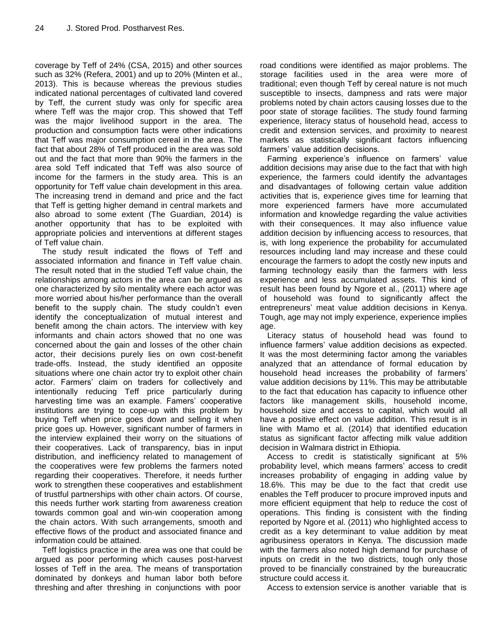coverage by Teff of 24% (CSA, 2015) and other sources such as 32% (Refera, 2001) and up to 20% (Minten et al., 2013). This is because whereas the previous studies indicated national percentages of cultivated land covered by Teff, the current study was only for specific area where Teff was the major crop. This showed that Teff was the major livelihood support in the area. The production and consumption facts were other indications that Teff was major consumption cereal in the area. The fact that about 28% of Teff produced in the area was sold out and the fact that more than 90% the farmers in the area sold Teff indicated that Teff was also source of income for the farmers in the study area. This is an opportunity for Teff value chain development in this area. The increasing trend in demand and price and the fact that Teff is getting higher demand in central markets and also abroad to some extent (The Guardian, 2014) is another opportunity that has to be exploited with appropriate policies and interventions at different stages of Teff value chain.

The study result indicated the flows of Teff and associated information and finance in Teff value chain. The result noted that in the studied Teff value chain, the relationships among actors in the area can be argued as one characterized by silo mentality where each actor was more worried about his/her performance than the overall benefit to the supply chain. The study couldn't even identify the conceptualization of mutual interest and benefit among the chain actors. The interview with key informants and chain actors showed that no one was concerned about the gain and losses of the other chain actor, their decisions purely lies on own cost-benefit trade-offs. Instead, the study identified an opposite situations where one chain actor try to exploit other chain actor. Farmers' claim on traders for collectively and intentionally reducing Teff price particularly during harvesting time was an example. Famers' cooperative institutions are trying to cope-up with this problem by buying Teff when price goes down and selling it when price goes up. However, significant number of farmers in the interview explained their worry on the situations of their cooperatives. Lack of transparency, bias in input distribution, and inefficiency related to management of the cooperatives were few problems the farmers noted regarding their cooperatives. Therefore, it needs further work to strengthen these cooperatives and establishment of trustful partnerships with other chain actors. Of course, this needs further work starting from awareness creation towards common goal and win-win cooperation among the chain actors. With such arrangements, smooth and effective flows of the product and associated finance and information could be attained.

Teff logistics practice in the area was one that could be argued as poor performing which causes post-harvest losses of Teff in the area. The means of transportation dominated by donkeys and human labor both before threshing and after threshing in conjunctions with poor

road conditions were identified as major problems. The storage facilities used in the area were more of traditional; even though Teff by cereal nature is not much susceptible to insects, dampness and rats were major problems noted by chain actors causing losses due to the poor state of storage facilities. The study found farming experience, literacy status of household head, access to credit and extension services, and proximity to nearest markets as statistically significant factors influencing farmers" value addition decisions.

Farming experience's influence on farmers' value addition decisions may arise due to the fact that with high experience, the farmers could identify the advantages and disadvantages of following certain value addition activities that is, experience gives time for learning that more experienced farmers have more accumulated information and knowledge regarding the value activities with their consequences. It may also influence value addition decision by influencing access to resources, that is, with long experience the probability for accumulated resources including land may increase and these could encourage the farmers to adopt the costly new inputs and farming technology easily than the farmers with less experience and less accumulated assets. This kind of result has been found by Ngore et al., (2011) where age of household was found to significantly affect the entrepreneurs" meat value addition decisions in Kenya. Tough, age may not imply experience, experience implies age.

Literacy status of household head was found to influence farmers' value addition decisions as expected. It was the most determining factor among the variables analyzed that an attendance of formal education by household head increases the probability of farmers' value addition decisions by 11%. This may be attributable to the fact that education has capacity to influence other factors like management skills, household income, household size and access to capital, which would all have a positive effect on value addition. This result is in line with Mamo et al. (2014) that identified education status as significant factor affecting milk value addition decision in Walmara district in Ethiopia.

Access to credit is statistically significant at 5% probability level, which means farmers" access to credit increases probability of engaging in adding value by 18.6%. This may be due to the fact that credit use enables the Teff producer to procure improved inputs and more efficient equipment that help to reduce the cost of operations. This finding is consistent with the finding reported by Ngore et al. (2011) who highlighted access to credit as a key determinant to value addition by meat agribusiness operators in Kenya. The discussion made with the farmers also noted high demand for purchase of inputs on credit in the two districts, tough only those proved to be financially constrained by the bureaucratic structure could access it.

Access to extension service is another variable that is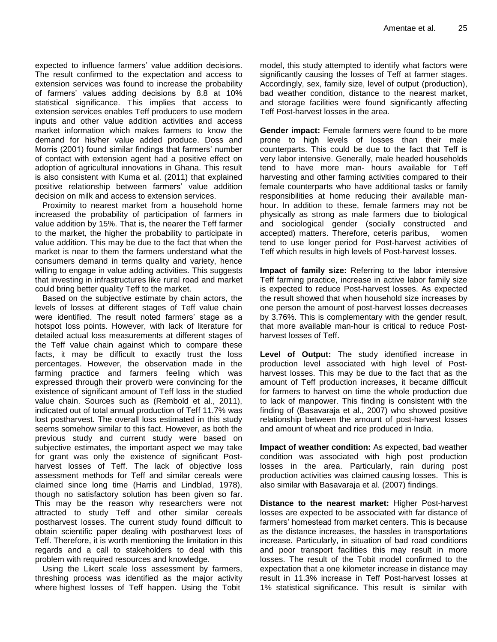expected to influence farmers' value addition decisions. The result confirmed to the expectation and access to extension services was found to increase the probability of farmers" values adding decisions by 8.8 at 10% statistical significance. This implies that access to extension services enables Teff producers to use modern inputs and other value addition activities and access market information which makes farmers to know the demand for his/her value added produce. Doss and Morris (2001) found similar findings that farmers' number of contact with extension agent had a positive effect on adoption of agricultural innovations in Ghana. This result is also consistent with Kuma et al. (2011) that explained positive relationship between farmers" value addition decision on milk and access to extension services.

Proximity to nearest market from a household home increased the probability of participation of farmers in value addition by 15%. That is, the nearer the Teff farmer to the market, the higher the probability to participate in value addition. This may be due to the fact that when the market is near to them the farmers understand what the consumers demand in terms quality and variety, hence willing to engage in value adding activities. This suggests that investing in infrastructures like rural road and market could bring better quality Teff to the market.

Based on the subjective estimate by chain actors, the levels of losses at different stages of Teff value chain were identified. The result noted farmers' stage as a hotspot loss points. However, with lack of literature for detailed actual loss measurements at different stages of the Teff value chain against which to compare these facts, it may be difficult to exactly trust the loss percentages. However, the observation made in the farming practice and farmers feeling which was expressed through their proverb were convincing for the existence of significant amount of Teff loss in the studied value chain. Sources such as (Rembold et al., 2011), indicated out of total annual production of Teff 11.7% was lost postharvest. The overall loss estimated in this study seems somehow similar to this fact. However, as both the previous study and current study were based on subjective estimates, the important aspect we may take for grant was only the existence of significant Postharvest losses of Teff. The lack of objective loss assessment methods for Teff and similar cereals were claimed since long time (Harris and Lindblad, 1978), though no satisfactory solution has been given so far. This may be the reason why researchers were not attracted to study Teff and other similar cereals postharvest losses. The current study found difficult to obtain scientific paper dealing with postharvest loss of Teff. Therefore, it is worth mentioning the limitation in this regards and a call to stakeholders to deal with this problem with required resources and knowledge.

Using the Likert scale loss assessment by farmers, threshing process was identified as the major activity where highest losses of Teff happen. Using the Tobit

model, this study attempted to identify what factors were significantly causing the losses of Teff at farmer stages. Accordingly, sex, family size, level of output (production), bad weather condition, distance to the nearest market, and storage facilities were found significantly affecting Teff Post-harvest losses in the area.

**Gender impact:** Female farmers were found to be more prone to high levels of losses than their male counterparts. This could be due to the fact that Teff is very labor intensive. Generally, male headed households tend to have more man- hours available for Teff harvesting and other farming activities compared to their female counterparts who have additional tasks or family responsibilities at home reducing their available manhour. In addition to these, female farmers may not be physically as strong as male farmers due to biological and sociological gender (socially constructed and accepted) matters. Therefore, ceteris paribus, women tend to use longer period for Post-harvest activities of Teff which results in high levels of Post-harvest losses.

**Impact of family size:** Referring to the labor intensive Teff farming practice, increase in active labor family size is expected to reduce Post-harvest losses. As expected the result showed that when household size increases by one person the amount of post-harvest losses decreases by 3.76%. This is complementary with the gender result, that more available man-hour is critical to reduce Postharvest losses of Teff.

**Level of Output:** The study identified increase in production level associated with high level of Postharvest losses. This may be due to the fact that as the amount of Teff production increases, it became difficult for farmers to harvest on time the whole production due to lack of manpower. This finding is consistent with the finding of (Basavaraja et al., 2007) who showed positive relationship between the amount of post-harvest losses and amount of wheat and rice produced in India.

**Impact of weather condition:** As expected, bad weather condition was associated with high post production losses in the area. Particularly, rain during post production activities was claimed causing losses. This is also similar with Basavaraja et al. (2007) findings.

**Distance to the nearest market:** Higher Post-harvest losses are expected to be associated with far distance of farmers' homestead from market centers. This is because as the distance increases, the hassles in transportations increase. Particularly, in situation of bad road conditions and poor transport facilities this may result in more losses. The result of the Tobit model confirmed to the expectation that a one kilometer increase in distance may result in 11.3% increase in Teff Post-harvest losses at 1% statistical significance. This result is similar with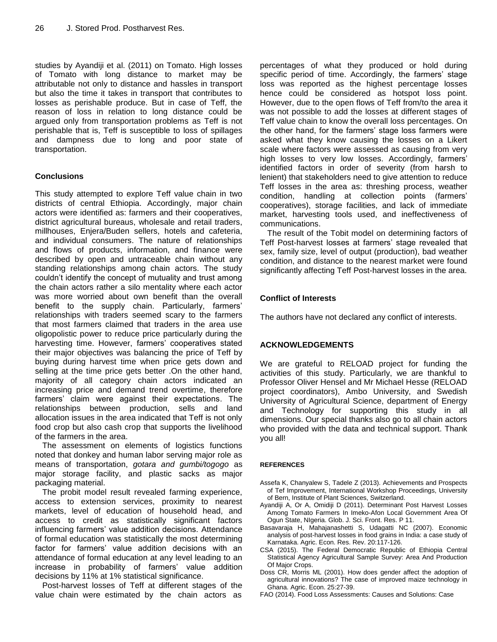studies by Ayandiji et al. (2011) on Tomato. High losses of Tomato with long distance to market may be attributable not only to distance and hassles in transport but also the time it takes in transport that contributes to losses as perishable produce. But in case of Teff, the reason of loss in relation to long distance could be argued only from transportation problems as Teff is not perishable that is, Teff is susceptible to loss of spillages and dampness due to long and poor state of transportation.

# **Conclusions**

This study attempted to explore Teff value chain in two districts of central Ethiopia. Accordingly, major chain actors were identified as: farmers and their cooperatives, district agricultural bureaus, wholesale and retail traders, millhouses, Enjera/Buden sellers, hotels and cafeteria, and individual consumers. The nature of relationships and flows of products, information, and finance were described by open and untraceable chain without any standing relationships among chain actors. The study couldn"t identify the concept of mutuality and trust among the chain actors rather a silo mentality where each actor was more worried about own benefit than the overall benefit to the supply chain. Particularly, farmers' relationships with traders seemed scary to the farmers that most farmers claimed that traders in the area use oligopolistic power to reduce price particularly during the harvesting time. However, farmers' cooperatives stated their major objectives was balancing the price of Teff by buying during harvest time when price gets down and selling at the time price gets better .On the other hand, majority of all category chain actors indicated an increasing price and demand trend overtime, therefore farmers' claim were against their expectations. The relationships between production, sells and land allocation issues in the area indicated that Teff is not only food crop but also cash crop that supports the livelihood of the farmers in the area.

The assessment on elements of logistics functions noted that donkey and human labor serving major role as means of transportation, *gotara and gumbi/togogo* as major storage facility, and plastic sacks as major packaging material.

The probit model result revealed farming experience, access to extension services, proximity to nearest markets, level of education of household head, and access to credit as statistically significant factors influencing farmers' value addition decisions. Attendance of formal education was statistically the most determining factor for farmers' value addition decisions with an attendance of formal education at any level leading to an increase in probability of farmers' value addition decisions by 11% at 1% statistical significance.

Post-harvest losses of Teff at different stages of the value chain were estimated by the chain actors as

percentages of what they produced or hold during specific period of time. Accordingly, the farmers' stage loss was reported as the highest percentage losses hence could be considered as hotspot loss point. However, due to the open flows of Teff from/to the area it was not possible to add the losses at different stages of Teff value chain to know the overall loss percentages. On the other hand, for the farmers" stage loss farmers were asked what they know causing the losses on a Likert scale where factors were assessed as causing from very high losses to very low losses. Accordingly, farmers' identified factors in order of severity (from harsh to lenient) that stakeholders need to give attention to reduce Teff losses in the area as: threshing process, weather condition, handling at collection points (farmers" cooperatives), storage facilities, and lack of immediate market, harvesting tools used, and ineffectiveness of communications.

The result of the Tobit model on determining factors of Teff Post-harvest losses at farmers" stage revealed that sex, family size, level of output (production), bad weather condition, and distance to the nearest market were found significantly affecting Teff Post-harvest losses in the area.

# **Conflict of Interests**

The authors have not declared any conflict of interests.

# **ACKNOWLEDGEMENTS**

We are grateful to RELOAD project for funding the activities of this study. Particularly, we are thankful to Professor Oliver Hensel and Mr Michael Hesse (RELOAD project coordinators), Ambo University, and Swedish University of Agricultural Science, department of Energy and Technology for supporting this study in all dimensions. Our special thanks also go to all chain actors who provided with the data and technical support. Thank you all!

# **REFERENCES**

- Assefa K, Chanyalew S, Tadele Z (2013). Achievements and Prospects of Tef Improvement, International Workshop Proceedings, University of Bern, Institute of Plant Sciences, Switzerland.
- Ayandiji A, Or A, Omidiji D (2011). Determinant Post Harvest Losses Among Tomato Farmers In Imeko-Afon Local Government Area Of Ogun State, NIgeria. Glob. J. Sci. Front. Res. P 11.
- Basavaraja H, Mahajanashetti S, Udagatti NC (2007). Economic analysis of post-harvest losses in food grains in India: a case study of Karnataka. Agric. Econ. Res. Rev. 20:117-126.
- CSA (2015). The Federal Democratic Republic of Ethiopia Central Statistical Agency Agricultural Sample Survey: Area And Production Of Major Crops.
- Doss CR, Morris ML (2001). How does gender affect the adoption of agricultural innovations? The case of improved maize technology in Ghana. Agric. Econ. 25:27-39.
- FAO (2014). Food Loss Assessments: Causes and Solutions: Case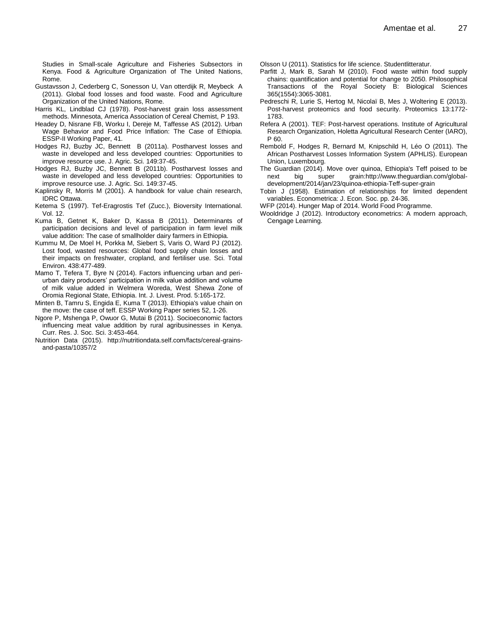Studies in Small-scale Agriculture and Fisheries Subsectors in Kenya. Food & Agriculture Organization of The United Nations, Rome.

- Gustavsson J, Cederberg C, Sonesson U, Van otterdijk R, Meybeck A (2011). Global food losses and food waste. Food and Agriculture Organization of the United Nations, Rome.
- Harris KL, Lindblad CJ (1978). Post-harvest grain loss assessment methods. Minnesota, America Association of Cereal Chemist, P 193.
- Headey D, Nisrane FB, Worku I, Dereje M, Taffesse AS (2012). Urban Wage Behavior and Food Price Inflation: The Case of Ethiopia. ESSP-II Working Paper, 41.
- Hodges RJ, Buzby JC, Bennett B (2011a). Postharvest losses and waste in developed and less developed countries: Opportunities to improve resource use. J. Agric. Sci. 149:37-45.
- Hodges RJ, Buzby JC, Bennett B (2011b). Postharvest losses and waste in developed and less developed countries: Opportunities to improve resource use. J. Agric. Sci. 149:37-45.
- Kaplinsky R, Morris M (2001). A handbook for value chain research, IDRC Ottawa.
- Ketema S (1997). Tef-Eragrostis Tef (Zucc.), Bioversity International. Vol. 12.
- Kuma B, Getnet K, Baker D, Kassa B (2011). Determinants of participation decisions and level of participation in farm level milk value addition: The case of smallholder dairy farmers in Ethiopia.
- Kummu M, De Moel H, Porkka M, Siebert S, Varis O, Ward PJ (2012). Lost food, wasted resources: Global food supply chain losses and their impacts on freshwater, cropland, and fertiliser use. Sci. Total Environ. 438:477-489.
- Mamo T, Tefera T, Byre N (2014). Factors influencing urban and periurban dairy producers" participation in milk value addition and volume of milk value added in Welmera Woreda, West Shewa Zone of Oromia Regional State, Ethiopia. Int. J. Livest. Prod. 5:165-172.
- Minten B, Tamru S, Engida E, Kuma T (2013). Ethiopia's value chain on the move: the case of teff. ESSP Working Paper series 52, 1-26.
- Ngore P, Mshenga P, Owuor G, Mutai B (2011). Socioeconomic factors influencing meat value addition by rural agribusinesses in Kenya. Curr. Res. J. Soc. Sci. 3:453-464.
- Nutrition Data (2015). http://nutritiondata.self.com/facts/cereal-grainsand-pasta/10357/2
- Olsson U (2011). Statistics for life science. Studentlitteratur.
- Parfitt J, Mark B, Sarah M (2010). Food waste within food supply chains: quantification and potential for change to 2050. Philosophical Transactions of the Royal Society B: Biological Sciences 365(1554):3065-3081.
- Pedreschi R, Lurie S, Hertog M, Nicolaï B, Mes J, Woltering E (2013). Post-harvest proteomics and food security. Proteomics 13:1772-1783.
- Refera A (2001). TEF: Post-harvest operations. Institute of Agricultural Research Organization, Holetta Agricultural Research Center (IARO), P 60.
- Rembold F, Hodges R, Bernard M, Knipschild H, Léo O (2011). The African Postharvest Losses Information System (APHLIS). European Union, Luxembourg.
- The Guardian (2014). Move over quinoa, Ethiopia's Teff poised to be next big super grain:http://www.theguardian.com/globaldevelopment/2014/jan/23/quinoa-ethiopia-Teff-super-grain
- Tobin J (1958). Estimation of relationships for limited dependent variables. Econometrica: J. Econ. Soc. pp. 24-36.
- WFP (2014). Hunger Map of 2014. World Food Programme.
- Wooldridge J (2012). Introductory econometrics: A modern approach, Cengage Learning.